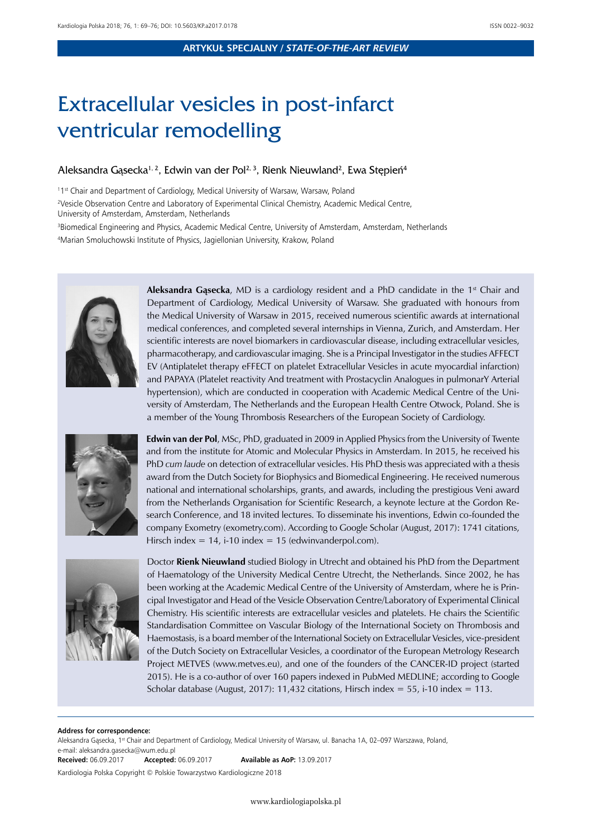# Extracellular vesicles in post-infarct ventricular remodelling

## Aleksandra Gąsecka<sup>1, 2</sup>, Edwin van der Pol<sup>2, 3</sup>, Rienk Nieuwland<sup>2</sup>, Ewa Stępień<sup>4</sup>

<sup>11st</sup> Chair and Department of Cardiology, Medical University of Warsaw, Warsaw, Poland

2 Vesicle Observation Centre and Laboratory of Experimental Clinical Chemistry, Academic Medical Centre, University of Amsterdam, Amsterdam, Netherlands

3 Biomedical Engineering and Physics, Academic Medical Centre, University of Amsterdam, Amsterdam, Netherlands 4 Marian Smoluchowski Institute of Physics, Jagiellonian University, Krakow, Poland



**Aleksandra Gasecka**, MD is a cardiology resident and a PhD candidate in the 1<sup>st</sup> Chair and Department of Cardiology, Medical University of Warsaw. She graduated with honours from the Medical University of Warsaw in 2015, received numerous scientific awards at international medical conferences, and completed several internships in Vienna, Zurich, and Amsterdam. Her scientific interests are novel biomarkers in cardiovascular disease, including extracellular vesicles, pharmacotherapy, and cardiovascular imaging. She is a Principal Investigator in the studies AFFECT EV (Antiplatelet therapy eFFECT on platelet Extracellular Vesicles in acute myocardial infarction) and PAPAYA (Platelet reactivity And treatment with Prostacyclin Analogues in pulmonarY Arterial hypertension), which are conducted in cooperation with Academic Medical Centre of the University of Amsterdam, The Netherlands and the European Health Centre Otwock, Poland. She is a member of the Young Thrombosis Researchers of the European Society of Cardiology.



**Edwin van der Pol**, MSc, PhD, graduated in 2009 in Applied Physics from the University of Twente and from the institute for Atomic and Molecular Physics in Amsterdam. In 2015, he received his PhD *cum laude* on detection of extracellular vesicles. His PhD thesis was appreciated with a thesis award from the Dutch Society for Biophysics and Biomedical Engineering. He received numerous national and international scholarships, grants, and awards, including the prestigious Veni award from the Netherlands Organisation for Scientific Research, a keynote lecture at the Gordon Research Conference, and 18 invited lectures. To disseminate his inventions, Edwin co-founded the company Exometry (exometry.com). According to Google Scholar (August, 2017): 1741 citations, Hirsch index =  $14$ , i-10 index =  $15$  (edwinvanderpol.com).



Doctor **Rienk Nieuwland** studied Biology in Utrecht and obtained his PhD from the Department of Haematology of the University Medical Centre Utrecht, the Netherlands. Since 2002, he has been working at the Academic Medical Centre of the University of Amsterdam, where he is Principal Investigator and Head of the Vesicle Observation Centre/Laboratory of Experimental Clinical Chemistry. His scientific interests are extracellular vesicles and platelets. He chairs the Scientific Standardisation Committee on Vascular Biology of the International Society on Thrombosis and Haemostasis, is a board member of the International Society on Extracellular Vesicles, vice-president of the Dutch Society on Extracellular Vesicles, a coordinator of the European Metrology Research Project METVES ([www.metves.eu](http://l.facebook.com/l.php?u=http%3A%2F%2Fwww.metves.eu%2F&h=tAQHrb5hGAQH3jqLkX_rCNaPoy0wVI2C8oQLCQ-jS57Sj0A&enc=AZMoFOnTgMU9Zi_Ei4Ekg4ebla1epOHoejJrH0X3KEJYoIDKKjsKdaXlzK41RRZGadPq4GeBR-c3wqMGC_AZf1gkrgH1UrKPAiIw595TwiNHmrvldvLu9yHN8Xi_3zxmdrfs44OQ1oM_J67T_D1FQgD3gPdMf6-fv3DKS3FDocAR_7cd0qQI024hkUqfExYOrG8V5NfUviuFSaaiP0vDzSe6&s=1)), and one of the founders of the CANCER-ID project (started 2015). He is a co-author of over 160 papers indexed in PubMed MEDLINE; according to Google Scholar database (August, 2017): 11,432 citations, Hirsch index = 55, i-10 index = 113.

#### **Address for correspondence:**

Aleksandra Gąsecka, 1st Chair and Department of Cardiology, Medical University of Warsaw, ul. Banacha 1A, 02-097 Warszawa, Poland, e-mail: aleksandra.gasecka@wum.edu.pl<br>**Received:** 06.09.2017 **Accepted:** 06.09.2017 **Received:** 06.09.2017 **Accepted:** 06.09.2017 **Available as AoP:** 13.09.2017

Kardiologia Polska Copyright © Polskie Towarzystwo Kardiologiczne 2018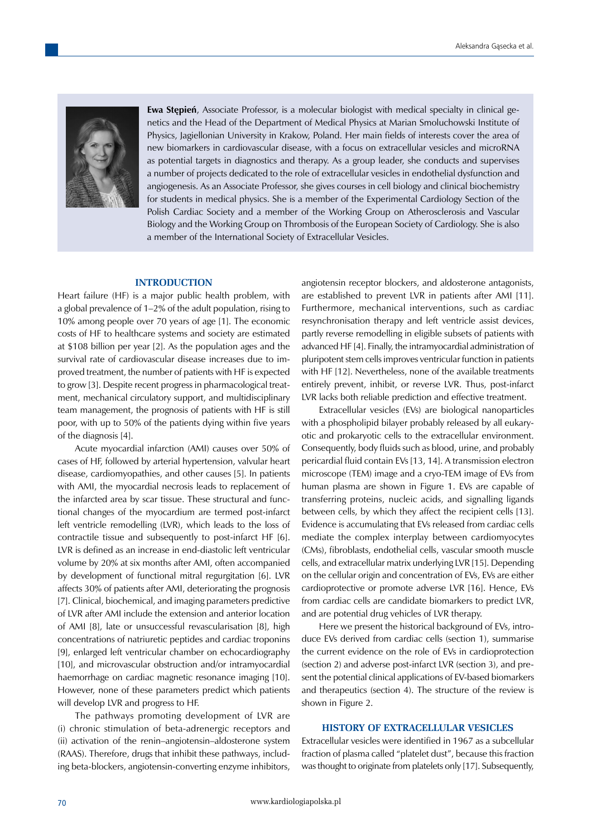

**Ewa Stępień**, Associate Professor, is a molecular biologist with medical specialty in clinical genetics and the Head of the Department of Medical Physics at Marian Smoluchowski Institute of Physics, Jagiellonian University in Krakow, Poland. Her main fields of interests cover the area of new biomarkers in cardiovascular disease, with a focus on extracellular vesicles and microRNA as potential targets in diagnostics and therapy. As a group leader, she conducts and supervises a number of projects dedicated to the role of extracellular vesicles in endothelial dysfunction and angiogenesis. As an Associate Professor, she gives courses in cell biology and clinical biochemistry for students in medical physics. She is a member of the Experimental Cardiology Section of the Polish Cardiac Society and a member of the Working Group on Atherosclerosis and Vascular Biology and the Working Group on Thrombosis of the European Society of Cardiology. She is also a member of the International Society of Extracellular Vesicles.

#### **INTRODUCTION**

Heart failure (HF) is a major public health problem, with a global prevalence of 1–2% of the adult population, rising to 10% among people over 70 years of age [1]. The economic costs of HF to healthcare systems and society are estimated at \$108 billion per year [2]. As the population ages and the survival rate of cardiovascular disease increases due to improved treatment, the number of patients with HF is expected to grow [3]. Despite recent progress in pharmacological treatment, mechanical circulatory support, and multidisciplinary team management, the prognosis of patients with HF is still poor, with up to 50% of the patients dying within five years of the diagnosis [4].

Acute myocardial infarction (AMI) causes over 50% of cases of HF, followed by arterial hypertension, valvular heart disease, cardiomyopathies, and other causes [5]. In patients with AMI, the myocardial necrosis leads to replacement of the infarcted area by scar tissue. These structural and functional changes of the myocardium are termed post-infarct left ventricle remodelling (LVR), which leads to the loss of contractile tissue and subsequently to post-infarct HF [6]. LVR is defined as an increase in end-diastolic left ventricular volume by 20% at six months after AMI, often accompanied by development of functional mitral regurgitation [6]. LVR affects 30% of patients after AMI, deteriorating the prognosis [7]. Clinical, biochemical, and imaging parameters predictive of LVR after AMI include the extension and anterior location of AMI [8], late or unsuccessful revascularisation [8], high concentrations of natriuretic peptides and cardiac troponins [9], enlarged left ventricular chamber on echocardiography [10], and microvascular obstruction and/or intramyocardial haemorrhage on cardiac magnetic resonance imaging [10]. However, none of these parameters predict which patients will develop LVR and progress to HF.

The pathways promoting development of LVR are (i) chronic stimulation of beta-adrenergic receptors and (ii) activation of the renin–angiotensin–aldosterone system (RAAS). Therefore, drugs that inhibit these pathways, including beta-blockers, angiotensin-converting enzyme inhibitors,

angiotensin receptor blockers, and aldosterone antagonists, are established to prevent LVR in patients after AMI [11]. Furthermore, mechanical interventions, such as cardiac resynchronisation therapy and left ventricle assist devices, partly reverse remodelling in eligible subsets of patients with advanced HF [4]. Finally, the intramyocardial administration of pluripotent stem cells improves ventricular function in patients with HF [12]. Nevertheless, none of the available treatments entirely prevent, inhibit, or reverse LVR. Thus, post-infarct LVR lacks both reliable prediction and effective treatment.

Extracellular vesicles (EVs) are biological nanoparticles with a phospholipid bilayer probably released by all eukaryotic and prokaryotic cells to the extracellular environment. Consequently, body fluids such as blood, urine, and probably pericardial fluid contain EVs [13, 14]. A transmission electron microscope (TEM) image and a cryo-TEM image of EVs from human plasma are shown in Figure 1. EVs are capable of transferring proteins, nucleic acids, and signalling ligands between cells, by which they affect the recipient cells [13]. Evidence is accumulating that EVs released from cardiac cells mediate the complex interplay between cardiomyocytes (CMs), fibroblasts, endothelial cells, vascular smooth muscle cells, and extracellular matrix underlying LVR [15]. Depending on the cellular origin and concentration of EVs, EVs are either cardioprotective or promote adverse LVR [16]. Hence, EVs from cardiac cells are candidate biomarkers to predict LVR, and are potential drug vehicles of LVR therapy.

Here we present the historical background of EVs, introduce EVs derived from cardiac cells (section 1), summarise the current evidence on the role of EVs in cardioprotection (section 2) and adverse post-infarct LVR (section 3), and present the potential clinical applications of EV-based biomarkers and therapeutics (section 4). The structure of the review is shown in Figure 2.

#### **HISTORY OF EXTRACELLULAR VESICLES**

Extracellular vesicles were identified in 1967 as a subcellular fraction of plasma called "platelet dust", because this fraction was thought to originate from platelets only [17]. Subsequently,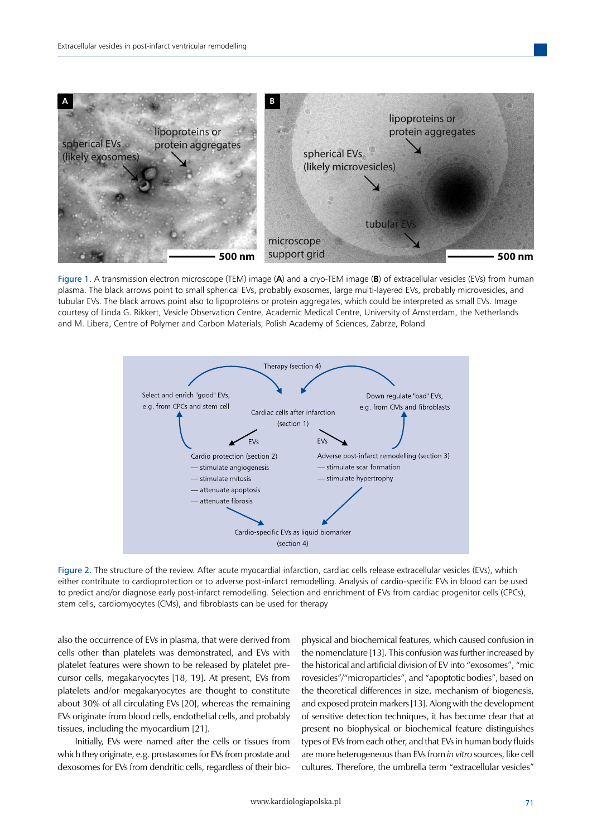

Figure 1. A transmission electron microscope (TEM) image (**A**) and a cryo-TEM image (**B**) of extracellular vesicles (EVs) from human plasma. The black arrows point to small spherical EVs, probably exosomes, large multi-layered EVs, probably microvesicles, and tubular EVs. The black arrows point also to lipoproteins or protein aggregates, which could be interpreted as small EVs. Image courtesy of Linda G. Rikkert, Vesicle Observation Centre, Academic Medical Centre, University of Amsterdam, the Netherlands and M. Libera, Centre of Polymer and Carbon Materials, Polish Academy of Sciences, Zabrze, Poland



Figure 2. The structure of the review. After acute myocardial infarction, cardiac cells release extracellular vesicles (EVs), which either contribute to cardioprotection or to adverse post-infarct remodelling. Analysis of cardio-specific EVs in blood can be used to predict and/or diagnose early post-infarct remodelling. Selection and enrichment of EVs from cardiac progenitor cells (CPCs), stem cells, cardiomyocytes (CMs), and fibroblasts can be used for therapy

also the occurrence of EVs in plasma, that were derived from cells other than platelets was demonstrated, and EVs with platelet features were shown to be released by platelet precursor cells, megakaryocytes [18, 19]. At present, EVs from platelets and/or megakaryocytes are thought to constitute about 30% of all circulating EVs [20], whereas the remaining EVs originate from blood cells, endothelial cells, and probably tissues, including the myocardium [21].

Initially, EVs were named after the cells or tissues from which they originate, e.g. prostasomes for EVs from prostate and dexosomes for EVs from dendritic cells, regardless of their biophysical and biochemical features, which caused confusion in the nomenclature [13]. This confusion was further increased by the historical and artificial division of EV into "exosomes", "mic rovesicles"/"microparticles", and "apoptotic bodies", based on the theoretical differences in size, mechanism of biogenesis, and exposed protein markers [13]. Along with the development of sensitive detection techniques, it has become clear that at present no biophysical or biochemical feature distinguishes types of EVs from each other, and that EVs in human body fluids are more heterogeneous than EVs from *in vitro* sources, like cell cultures. Therefore, the umbrella term "extracellular vesicles"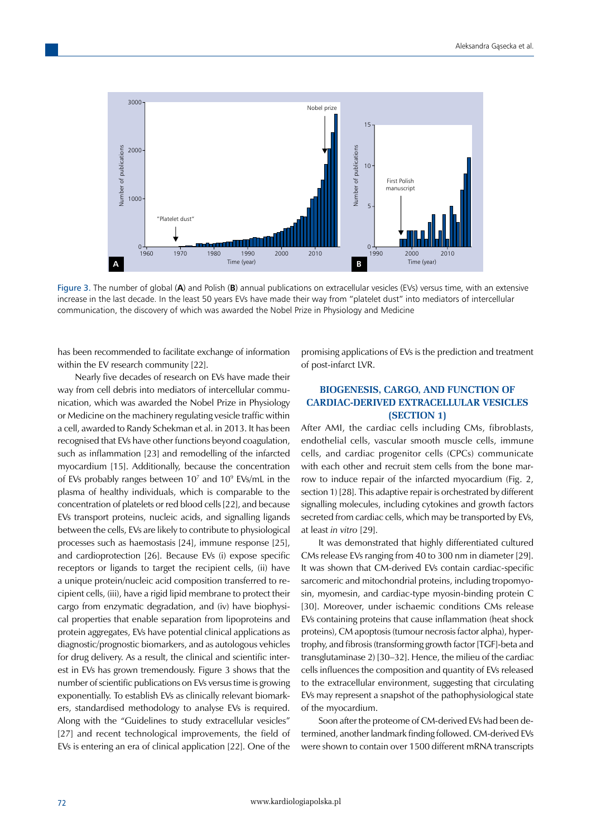

Figure 3. The number of global (**A**) and Polish (**B**) annual publications on extracellular vesicles (EVs) versus time, with an extensive increase in the last decade. In the least 50 years EVs have made their way from "platelet dust" into mediators of intercellular communication, the discovery of which was awarded the Nobel Prize in Physiology and Medicine

has been recommended to facilitate exchange of information within the EV research community [22].

Nearly five decades of research on EVs have made their way from cell debris into mediators of intercellular communication, which was awarded the Nobel Prize in Physiology or Medicine on the machinery regulating vesicle traffic within a cell, awarded to Randy Schekman et al. in 2013. It has been recognised that EVs have other functions beyond coagulation, such as inflammation [23] and remodelling of the infarcted myocardium [15]. Additionally, because the concentration of EVs probably ranges between 107 and 109 EVs/mL in the plasma of healthy individuals, which is comparable to the concentration of platelets or red blood cells [22], and because EVs transport proteins, nucleic acids, and signalling ligands between the cells, EVs are likely to contribute to physiological processes such as haemostasis [24], immune response [25], and cardioprotection [26]. Because EVs (i) expose specific receptors or ligands to target the recipient cells, (ii) have a unique protein/nucleic acid composition transferred to recipient cells, (iii), have a rigid lipid membrane to protect their cargo from enzymatic degradation, and (iv) have biophysical properties that enable separation from lipoproteins and protein aggregates, EVs have potential clinical applications as diagnostic/prognostic biomarkers, and as autologous vehicles for drug delivery. As a result, the clinical and scientific interest in EVs has grown tremendously. Figure 3 shows that the number of scientific publications on EVs versus time is growing exponentially. To establish EVs as clinically relevant biomarkers, standardised methodology to analyse EVs is required. Along with the "Guidelines to study extracellular vesicles" [27] and recent technological improvements, the field of EVs is entering an era of clinical application [22]. One of the

promising applications of EVs is the prediction and treatment of post-infarct LVR.

## **BIOGENESIS, CARGO, AND FUNCTION OF CARDIAC-DERIVED EXTRACELLULAR VESICLES (SECTION 1)**

After AMI, the cardiac cells including CMs, fibroblasts, endothelial cells, vascular smooth muscle cells, immune cells, and cardiac progenitor cells (CPCs) communicate with each other and recruit stem cells from the bone marrow to induce repair of the infarcted myocardium (Fig. 2, section 1) [28]. This adaptive repair is orchestrated by different signalling molecules, including cytokines and growth factors secreted from cardiac cells, which may be transported by EVs, at least *in vitro* [29].

It was demonstrated that highly differentiated cultured CMs release EVs ranging from 40 to 300 nm in diameter [29]. It was shown that CM-derived EVs contain cardiac-specific sarcomeric and mitochondrial proteins, including tropomyosin, myomesin, and cardiac-type myosin-binding protein C [30]. Moreover, under ischaemic conditions CMs release EVs containing proteins that cause inflammation (heat shock proteins), CM apoptosis (tumour necrosis factor alpha), hypertrophy, and fibrosis (transforming growth factor [TGF]-beta and transglutaminase 2) [30–32]. Hence, the milieu of the cardiac cells influences the composition and quantity of EVs released to the extracellular environment, suggesting that circulating EVs may represent a snapshot of the pathophysiological state of the myocardium.

Soon after the proteome of CM-derived EVs had been determined, another landmark finding followed. CM-derived EVs were shown to contain over 1500 different mRNA transcripts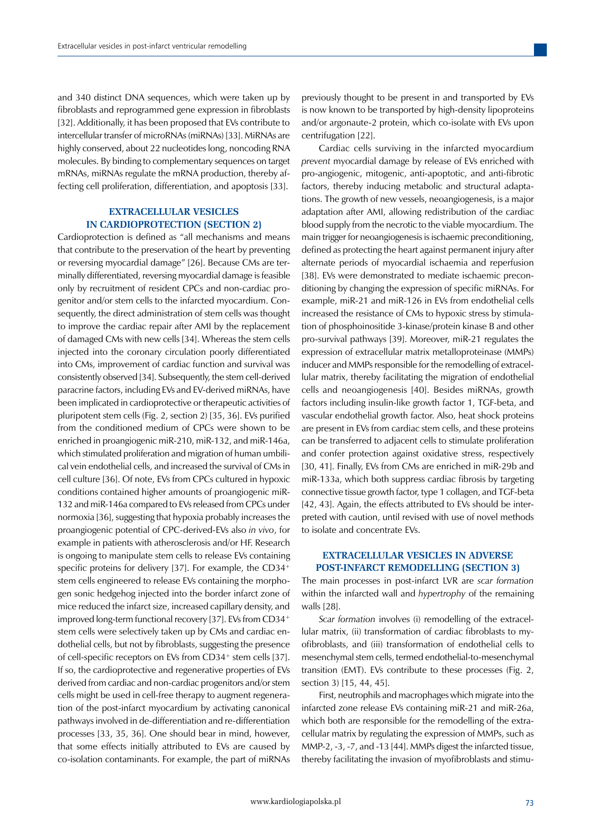and 340 distinct DNA sequences, which were taken up by fibroblasts and reprogrammed gene expression in fibroblasts [32]. Additionally, it has been proposed that EVs contribute to intercellular transfer of microRNAs (miRNAs) [33]. MiRNAs are highly conserved, about 22 nucleotides long, noncoding RNA molecules. By binding to complementary sequences on target mRNAs, miRNAs regulate the mRNA production, thereby affecting cell proliferation, differentiation, and apoptosis [33].

# **EXTRACELLULAR VESICLES IN CARDIOPROTECTION (SECTION 2)**

Cardioprotection is defined as "all mechanisms and means that contribute to the preservation of the heart by preventing or reversing myocardial damage" [26]. Because CMs are terminally differentiated, reversing myocardial damage is feasible only by recruitment of resident CPCs and non-cardiac progenitor and/or stem cells to the infarcted myocardium. Consequently, the direct administration of stem cells was thought to improve the cardiac repair after AMI by the replacement of damaged CMs with new cells [34]. Whereas the stem cells injected into the coronary circulation poorly differentiated into CMs, improvement of cardiac function and survival was consistently observed [34]. Subsequently, the stem cell-derived paracrine factors, including EVs and EV-derived miRNAs, have been implicated in cardioprotective or therapeutic activities of pluripotent stem cells (Fig. 2, section 2) [35, 36]. EVs purified from the conditioned medium of CPCs were shown to be enriched in proangiogenic miR-210, miR-132, and miR-146a, which stimulated proliferation and migration of human umbilical vein endothelial cells, and increased the survival of CMs in cell culture [36]. Of note, EVs from CPCs cultured in hypoxic conditions contained higher amounts of proangiogenic miR-132 and miR-146a compared to EVs released from CPCs under normoxia [36], suggesting that hypoxia probably increases the proangiogenic potential of CPC-derived-EVs also *in vivo*, for example in patients with atherosclerosis and/or HF. Research is ongoing to manipulate stem cells to release EVs containing specific proteins for delivery [37]. For example, the CD34<sup>+</sup> stem cells engineered to release EVs containing the morphogen sonic hedgehog injected into the border infarct zone of mice reduced the infarct size, increased capillary density, and improved long-term functional recovery [37]. EVs from CD34<sup>+</sup> stem cells were selectively taken up by CMs and cardiac endothelial cells, but not by fibroblasts, suggesting the presence of cell-specific receptors on EVs from CD34<sup>+</sup> stem cells [37]. If so, the cardioprotective and regenerative properties of EVs derived from cardiac and non-cardiac progenitors and/or stem cells might be used in cell-free therapy to augment regeneration of the post-infarct myocardium by activating canonical pathways involved in de-differentiation and re-differentiation processes [33, 35, 36]. One should bear in mind, however, that some effects initially attributed to EVs are caused by co-isolation contaminants. For example, the part of miRNAs previously thought to be present in and transported by EVs is now known to be transported by high-density lipoproteins and/or argonaute-2 protein, which co-isolate with EVs upon centrifugation [22].

Cardiac cells surviving in the infarcted myocardium *prevent* myocardial damage by release of EVs enriched with pro-angiogenic, mitogenic, anti-apoptotic, and anti-fibrotic factors, thereby inducing metabolic and structural adaptations. The growth of new vessels, neoangiogenesis, is a major adaptation after AMI, allowing redistribution of the cardiac blood supply from the necrotic to the viable myocardium. The main trigger for neoangiogenesis is ischaemic preconditioning, defined as protecting the heart against permanent injury after alternate periods of myocardial ischaemia and reperfusion [38]. EVs were demonstrated to mediate ischaemic preconditioning by changing the expression of specific miRNAs. For example, miR-21 and miR-126 in EVs from endothelial cells increased the resistance of CMs to hypoxic stress by stimulation of phosphoinositide 3-kinase/protein kinase B and other pro-survival pathways [39]. Moreover, miR-21 regulates the expression of extracellular matrix metalloproteinase (MMPs) inducer and MMPs responsible for the remodelling of extracellular matrix, thereby facilitating the migration of endothelial cells and neoangiogenesis [40]. Besides miRNAs, growth factors including insulin-like growth factor 1, TGF-beta, and vascular endothelial growth factor. Also, heat shock proteins are present in EVs from cardiac stem cells, and these proteins can be transferred to adjacent cells to stimulate proliferation and confer protection against oxidative stress, respectively [30, 41]. Finally, EVs from CMs are enriched in miR-29b and miR-133a, which both suppress cardiac fibrosis by targeting connective tissue growth factor, type 1 collagen, and TGF-beta [42, 43]. Again, the effects attributed to EVs should be interpreted with caution, until revised with use of novel methods to isolate and concentrate EVs.

### **EXTRACELLULAR VESICLES IN ADVERSE POST-INFARCT REMODELLING (SECTION 3)**

The main processes in post-infarct LVR are *scar formation* within the infarcted wall and *hypertrophy* of the remaining walls [28].

*Scar formation* involves (i) remodelling of the extracellular matrix, (ii) transformation of cardiac fibroblasts to myofibroblasts, and (iii) transformation of endothelial cells to mesenchymal stem cells, termed endothelial-to-mesenchymal transition (EMT). EVs contribute to these processes (Fig. 2, section 3) [15, 44, 45].

First, neutrophils and macrophages which migrate into the infarcted zone release EVs containing miR-21 and miR-26a, which both are responsible for the remodelling of the extracellular matrix by regulating the expression of MMPs, such as MMP-2, -3, -7, and -13 [44]. MMPs digest the infarcted tissue, thereby facilitating the invasion of myofibroblasts and stimu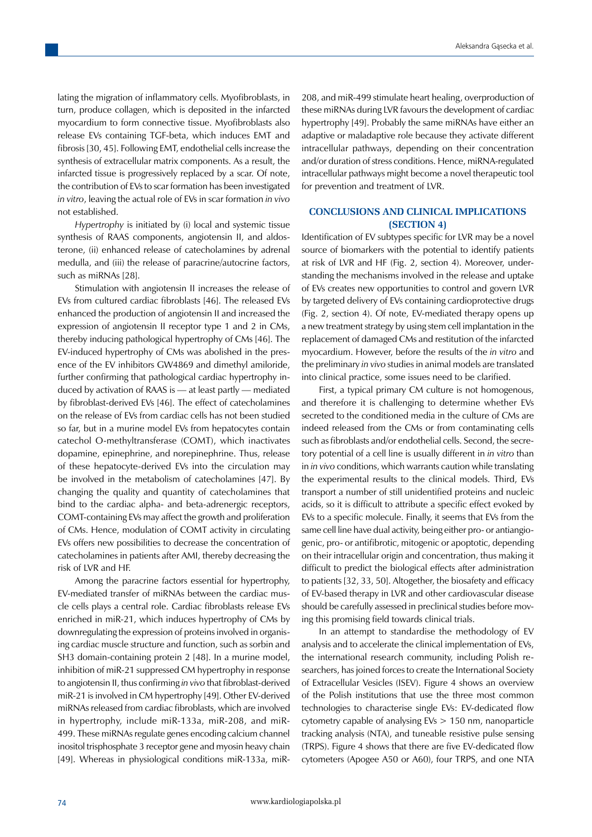lating the migration of inflammatory cells. Myofibroblasts, in turn, produce collagen, which is deposited in the infarcted myocardium to form connective tissue. Myofibroblasts also release EVs containing TGF-beta, which induces EMT and fibrosis [30, 45]. Following EMT, endothelial cells increase the synthesis of extracellular matrix components. As a result, the infarcted tissue is progressively replaced by a scar. Of note, the contribution of EVs to scar formation has been investigated *in vitro*, leaving the actual role of EVs in scar formation *in vivo* not established.

*Hypertrophy* is initiated by (i) local and systemic tissue synthesis of RAAS components, angiotensin II, and aldosterone, (ii) enhanced release of catecholamines by adrenal medulla, and (iii) the release of paracrine/autocrine factors, such as miRNAs [28].

Stimulation with angiotensin II increases the release of EVs from cultured cardiac fibroblasts [46]. The released EVs enhanced the production of angiotensin II and increased the expression of angiotensin II receptor type 1 and 2 in CMs, thereby inducing pathological hypertrophy of CMs [46]. The EV-induced hypertrophy of CMs was abolished in the presence of the EV inhibitors GW4869 and dimethyl amiloride, further confirming that pathological cardiac hypertrophy induced by activation of RAAS is — at least partly — mediated by fibroblast-derived EVs [46]. The effect of catecholamines on the release of EVs from cardiac cells has not been studied so far, but in a murine model EVs from hepatocytes contain catechol O-methyltransferase (COMT), which inactivates dopamine, epinephrine, and norepinephrine. Thus, release of these hepatocyte-derived EVs into the circulation may be involved in the metabolism of catecholamines [47]. By changing the quality and quantity of catecholamines that bind to the cardiac alpha- and beta-adrenergic receptors, COMT-containing EVs may affect the growth and proliferation of CMs. Hence, modulation of COMT activity in circulating EVs offers new possibilities to decrease the concentration of catecholamines in patients after AMI, thereby decreasing the risk of LVR and HF.

Among the paracrine factors essential for hypertrophy, EV-mediated transfer of miRNAs between the cardiac muscle cells plays a central role. Cardiac fibroblasts release EVs enriched in miR-21, which induces hypertrophy of CMs by downregulating the expression of proteins involved in organising cardiac muscle structure and function, such as sorbin and SH3 domain-containing protein 2 [48]. In a murine model, inhibition of miR-21 suppressed CM hypertrophy in response to angiotensin II, thus confirming *in vivo* that fibroblast-derived miR-21 is involved in CM hypertrophy [49]. Other EV-derived miRNAs released from cardiac fibroblasts, which are involved in hypertrophy, include miR-133a, miR-208, and miR-499. These miRNAs regulate genes encoding calcium channel inositol trisphosphate 3 receptor gene and myosin heavy chain [49]. Whereas in physiological conditions miR-133a, miR-

208, and miR-499 stimulate heart healing, overproduction of these miRNAs during LVR favours the development of cardiac hypertrophy [49]. Probably the same miRNAs have either an adaptive or maladaptive role because they activate different intracellular pathways, depending on their concentration and/or duration of stress conditions. Hence, miRNA-regulated intracellular pathways might become a novel therapeutic tool for prevention and treatment of LVR.

## **CONCLUSIONS AND CLINICAL IMPLICATIONS (SECTION 4)**

Identification of EV subtypes specific for LVR may be a novel source of biomarkers with the potential to identify patients at risk of LVR and HF (Fig. 2, section 4). Moreover, understanding the mechanisms involved in the release and uptake of EVs creates new opportunities to control and govern LVR by targeted delivery of EVs containing cardioprotective drugs (Fig. 2, section 4). Of note, EV-mediated therapy opens up a new treatment strategy by using stem cell implantation in the replacement of damaged CMs and restitution of the infarcted myocardium. However, before the results of the *in vitro* and the preliminary *in vivo* studies in animal models are translated into clinical practice, some issues need to be clarified.

First, a typical primary CM culture is not homogenous, and therefore it is challenging to determine whether EVs secreted to the conditioned media in the culture of CMs are indeed released from the CMs or from contaminating cells such as fibroblasts and/or endothelial cells. Second, the secretory potential of a cell line is usually different in *in vitro* than in *in vivo* conditions, which warrants caution while translating the experimental results to the clinical models. Third, EVs transport a number of still unidentified proteins and nucleic acids, so it is difficult to attribute a specific effect evoked by EVs to a specific molecule. Finally, it seems that EVs from the same cell line have dual activity, being either pro- or antiangiogenic, pro- or antifibrotic, mitogenic or apoptotic, depending on their intracellular origin and concentration, thus making it difficult to predict the biological effects after administration to patients [32, 33, 50]. Altogether, the biosafety and efficacy of EV-based therapy in LVR and other cardiovascular disease should be carefully assessed in preclinical studies before moving this promising field towards clinical trials.

In an attempt to standardise the methodology of EV analysis and to accelerate the clinical implementation of EVs, the international research community, including Polish researchers, has joined forces to create the International Society of Extracellular Vesicles (ISEV). Figure 4 shows an overview of the Polish institutions that use the three most common technologies to characterise single EVs: EV-dedicated flow cytometry capable of analysing EVs > 150 nm, nanoparticle tracking analysis (NTA), and tuneable resistive pulse sensing (TRPS). Figure 4 shows that there are five EV-dedicated flow cytometers (Apogee A50 or A60), four TRPS, and one NTA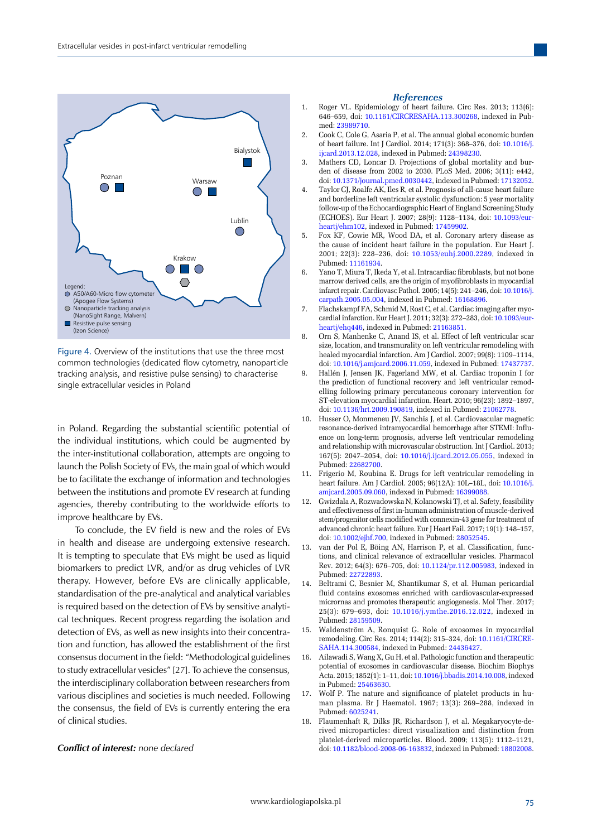

Figure 4. Overview of the institutions that use the three most common technologies (dedicated flow cytometry, nanoparticle tracking analysis, and resistive pulse sensing) to characterise single extracellular vesicles in Poland

in Poland. Regarding the substantial scientific potential of the individual institutions, which could be augmented by the inter-institutional collaboration, attempts are ongoing to launch the Polish Society of EVs, the main goal of which would be to facilitate the exchange of information and technologies between the institutions and promote EV research at funding agencies, thereby contributing to the worldwide efforts to improve healthcare by EVs.

To conclude, the EV field is new and the roles of EVs in health and disease are undergoing extensive research. It is tempting to speculate that EVs might be used as liquid biomarkers to predict LVR, and/or as drug vehicles of LVR therapy. However, before EVs are clinically applicable, standardisation of the pre-analytical and analytical variables is required based on the detection of EVs by sensitive analytical techniques. Recent progress regarding the isolation and detection of EVs, as well as new insights into their concentration and function, has allowed the establishment of the first consensus document in the field: "Methodological guidelines to study extracellular vesicles" [27]. To achieve the consensus, the interdisciplinary collaboration between researchers from various disciplines and societies is much needed. Following the consensus, the field of EVs is currently entering the era of clinical studies.

#### *Conflict of interest: none declared*

#### *References*

- 1. Roger VL. Epidemiology of heart failure. Circ Res. 2013; 113(6): 646–659, doi: [10.1161/CIRCRESAHA.113.300268,](http://dx.doi.org/10.1161/CIRCRESAHA.113.300268) indexed in Pubmed: [23989710](https://www.ncbi.nlm.nih.gov/pubmed/23989710).
- 2. Cook C, Cole G, Asaria P, et al. The annual global economic burden of heart failure. Int J Cardiol. 2014; 171(3): 368–376, doi: [10.1016/j.](http://dx.doi.org/10.1016/j.ijcard.2013.12.028) [ijcard.2013.12.028](http://dx.doi.org/10.1016/j.ijcard.2013.12.028), indexed in Pubmed: [24398230](https://www.ncbi.nlm.nih.gov/pubmed/24398230).
- 3. Mathers CD, Loncar D. Projections of global mortality and burden of disease from 2002 to 2030. PLoS Med. 2006; 3(11): e442, doi: [10.1371/journal.pmed.0030442](http://dx.doi.org/10.1371/journal.pmed.0030442), indexed in Pubmed: [17132052](https://www.ncbi.nlm.nih.gov/pubmed/17132052).
- 4. Taylor CJ, Roalfe AK, Iles R, et al. Prognosis of all-cause heart failure and borderline left ventricular systolic dysfunction: 5 year mortality follow-up of the Echocardiographic Heart of England Screening Study (ECHOES). Eur Heart J. 2007; 28(9): 1128–1134, doi: [10.1093/eur](http://dx.doi.org/10.1093/eurheartj/ehm102)[heartj/ehm102](http://dx.doi.org/10.1093/eurheartj/ehm102), indexed in Pubmed: [17459902](https://www.ncbi.nlm.nih.gov/pubmed/17459902).
- 5. Fox KF, Cowie MR, Wood DA, et al. Coronary artery disease as the cause of incident heart failure in the population. Eur Heart J. 2001; 22(3): 228–236, doi: [10.1053/euhj.2000.2289](http://dx.doi.org/10.1053/euhj.2000.2289), indexed in Pubmed: [11161934.](https://www.ncbi.nlm.nih.gov/pubmed/11161934)
- 6. Yano T, Miura T, Ikeda Y, et al. Intracardiac fibroblasts, but not bone marrow derived cells, are the origin of myofibroblasts in myocardial infarct repair. Cardiovasc Pathol. 2005; 14(5): 241–246, doi: [10.1016/j.](http://dx.doi.org/10.1016/j.carpath.2005.05.004) [carpath.2005.05.004](http://dx.doi.org/10.1016/j.carpath.2005.05.004), indexed in Pubmed: [16168896.](https://www.ncbi.nlm.nih.gov/pubmed/16168896)
- 7. Flachskampf FA, Schmid M, Rost C, et al. Cardiac imaging after myocardial infarction. Eur Heart J. 2011; 32(3): 272–283, doi: [10.1093/eur](http://dx.doi.org/10.1093/eurheartj/ehq446)[heartj/ehq446](http://dx.doi.org/10.1093/eurheartj/ehq446), indexed in Pubmed: [21163851](https://www.ncbi.nlm.nih.gov/pubmed/21163851).
- 8. Orn S, Manhenke C, Anand IS, et al. Effect of left ventricular scar size, location, and transmurality on left ventricular remodeling with healed myocardial infarction. Am J Cardiol. 2007; 99(8): 1109–1114, doi: [10.1016/j.amjcard.2006.11.059](http://dx.doi.org/10.1016/j.amjcard.2006.11.059), indexed in Pubmed: [17437737](https://www.ncbi.nlm.nih.gov/pubmed/17437737).
- 9. Hallén J, Jensen JK, Fagerland MW, et al. Cardiac troponin I for the prediction of functional recovery and left ventricular remodelling following primary percutaneous coronary intervention for ST-elevation myocardial infarction. Heart. 2010; 96(23): 1892–1897, doi: [10.1136/hrt.2009.190819](http://dx.doi.org/10.1136/hrt.2009.190819), indexed in Pubmed: [21062778](https://www.ncbi.nlm.nih.gov/pubmed/21062778).
- 10. Husser O, Monmeneu JV, Sanchis J, et al. Cardiovascular magnetic resonance-derived intramyocardial hemorrhage after STEMI: Influence on long-term prognosis, adverse left ventricular remodeling and relationship with microvascular obstruction. Int J Cardiol. 2013; 167(5): 2047–2054, doi: [10.1016/j.ijcard.2012.05.055](http://dx.doi.org/10.1016/j.ijcard.2012.05.055), indexed in Pubmed: [22682700.](https://www.ncbi.nlm.nih.gov/pubmed/22682700)
- 11. Frigerio M, Roubina E. Drugs for left ventricular remodeling in heart failure. Am J Cardiol. 2005; 96(12A): 10L–18L, doi: [10.1016/j.](http://dx.doi.org/10.1016/j.amjcard.2005.09.060) [amjcard.2005.09.060](http://dx.doi.org/10.1016/j.amjcard.2005.09.060), indexed in Pubmed: [16399088.](https://www.ncbi.nlm.nih.gov/pubmed/16399088)
- 12. Gwizdala A, Rozwadowska N, Kolanowski TJ, et al. Safety, feasibility and effectiveness of first in-human administration of muscle-derived stem/progenitor cells modified with connexin-43 gene for treatment of advanced chronic heart failure. Eur J Heart Fail. 2017; 19(1): 148–157, doi: [10.1002/ejhf.700](http://dx.doi.org/10.1002/ejhf.700), indexed in Pubmed: [28052545.](https://www.ncbi.nlm.nih.gov/pubmed/28052545)
- 13. van der Pol E, Böing AN, Harrison P, et al. Classification, functions, and clinical relevance of extracellular vesicles. Pharmacol Rev. 2012; 64(3): 676–705, doi: [10.1124/pr.112.005983](http://dx.doi.org/10.1124/pr.112.005983), indexed in Pubmed: [22722893.](https://www.ncbi.nlm.nih.gov/pubmed/22722893)
- 14. Beltrami C, Besnier M, Shantikumar S, et al. Human pericardial fluid contains exosomes enriched with cardiovascular-expressed micrornas and promotes therapeutic angiogenesis. Mol Ther. 2017; 25(3): 679–693, doi: [10.1016/j.ymthe.2016.12.022](http://dx.doi.org/10.1016/j.ymthe.2016.12.022), indexed in Pubmed: [28159509.](https://www.ncbi.nlm.nih.gov/pubmed/28159509)
- 15. Waldenström A, Ronquist G. Role of exosomes in myocardial remodeling. Circ Res. 2014; 114(2): 315–324, doi: [10.1161/CIRCRE-](http://dx.doi.org/10.1161/CIRCRESAHA.114.300584)[SAHA.114.300584](http://dx.doi.org/10.1161/CIRCRESAHA.114.300584), indexed in Pubmed: [24436427](https://www.ncbi.nlm.nih.gov/pubmed/24436427).
- 16. Ailawadi S, Wang X, Gu H, et al. Pathologic function and therapeutic potential of exosomes in cardiovascular disease. Biochim Biophys Acta. 2015; 1852(1): 1–11, doi: [10.1016/j.bbadis.2014.10.008](http://dx.doi.org/10.1016/j.bbadis.2014.10.008), indexed in Pubmed: [25463630](https://www.ncbi.nlm.nih.gov/pubmed/25463630).
- 17. Wolf P. The nature and significance of platelet products in human plasma. Br J Haematol. 1967; 13(3): 269–288, indexed in Pubmed: [6025241.](https://www.ncbi.nlm.nih.gov/pubmed/6025241)
- 18. Flaumenhaft R, Dilks JR, Richardson J, et al. Megakaryocyte-derived microparticles: direct visualization and distinction from platelet-derived microparticles. Blood. 2009; 113(5): 1112–1121, doi: [10.1182/blood-2008-06-163832](http://dx.doi.org/10.1182/blood-2008-06-163832), indexed in Pubmed: [18802008](https://www.ncbi.nlm.nih.gov/pubmed/18802008).